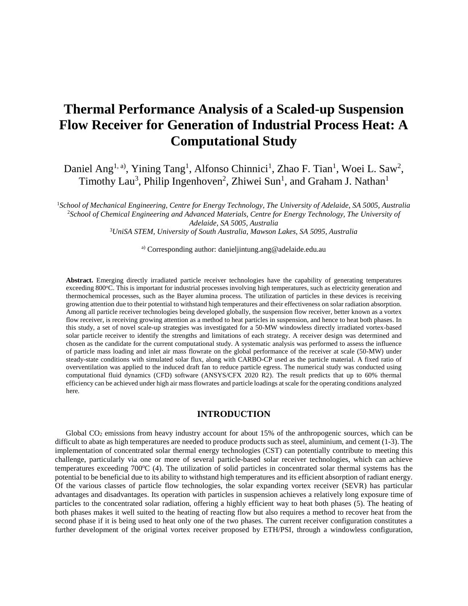# **Thermal Performance Analysis of a Scaled-up Suspension Flow Receiver for Generation of Industrial Process Heat: A Computational Study**

Daniel Ang<sup>1, a)</sup>, Yining Tang<sup>1</sup>, Alfonso Chinnici<sup>1</sup>, Zhao F. Tian<sup>1</sup>, Woei L. Saw<sup>2</sup>, Timothy Lau<sup>3</sup>, Philip Ingenhoven<sup>2</sup>, Zhiwei Sun<sup>1</sup>, and Graham J. Nathan<sup>1</sup>

*School of Mechanical Engineering, Centre for Energy Technology, The University of Adelaide, SA 5005, Australia School of Chemical Engineering and Advanced Materials, Centre for Energy Technology, The University of Adelaide, SA 5005, Australia UniSA STEM, University of South Australia, Mawson Lakes, SA 5095, Australia*

a) Corresponding author: danieljintung.ang@adelaide.edu.au

**Abstract.** Emerging directly irradiated particle receiver technologies have the capability of generating temperatures exceeding 800°C. This is important for industrial processes involving high temperatures, such as electricity generation and thermochemical processes, such as the Bayer alumina process. The utilization of particles in these devices is receiving growing attention due to their potential to withstand high temperatures and their effectiveness on solar radiation absorption. Among all particle receiver technologies being developed globally, the suspension flow receiver, better known as a vortex flow receiver, is receiving growing attention as a method to heat particles in suspension, and hence to heat both phases. In this study, a set of novel scale-up strategies was investigated for a 50-MW windowless directly irradiated vortex-based solar particle receiver to identify the strengths and limitations of each strategy. A receiver design was determined and chosen as the candidate for the current computational study. A systematic analysis was performed to assess the influence of particle mass loading and inlet air mass flowrate on the global performance of the receiver at scale (50-MW) under steady-state conditions with simulated solar flux, along with CARBO-CP used as the particle material. A fixed ratio of overventilation was applied to the induced draft fan to reduce particle egress. The numerical study was conducted using computational fluid dynamics (CFD) software (ANSYS/CFX 2020 R2). The result predicts that up to 60% thermal efficiency can be achieved under high air mass flowrates and particle loadings at scale for the operating conditions analyzed here.

#### **INTRODUCTION**

Global  $CO<sub>2</sub>$  emissions from heavy industry account for about 15% of the anthropogenic sources, which can be difficult to abate as high temperatures are needed to produce products such as steel, aluminium, and cement (1-3). The implementation of concentrated solar thermal energy technologies (CST) can potentially contribute to meeting this challenge, particularly via one or more of several particle-based solar receiver technologies, which can achieve temperatures exceeding  $700^{\circ}C$  (4). The utilization of solid particles in concentrated solar thermal systems has the potential to be beneficial due to its ability to withstand high temperatures and its efficient absorption of radiant energy. Of the various classes of particle flow technologies, the solar expanding vortex receiver (SEVR) has particular advantages and disadvantages. Its operation with particles in suspension achieves a relatively long exposure time of particles to the concentrated solar radiation, offering a highly efficient way to heat both phases (5). The heating of both phases makes it well suited to the heating of reacting flow but also requires a method to recover heat from the second phase if it is being used to heat only one of the two phases. The current receiver configuration constitutes a further development of the original vortex receiver proposed by ETH/PSI, through a windowless configuration,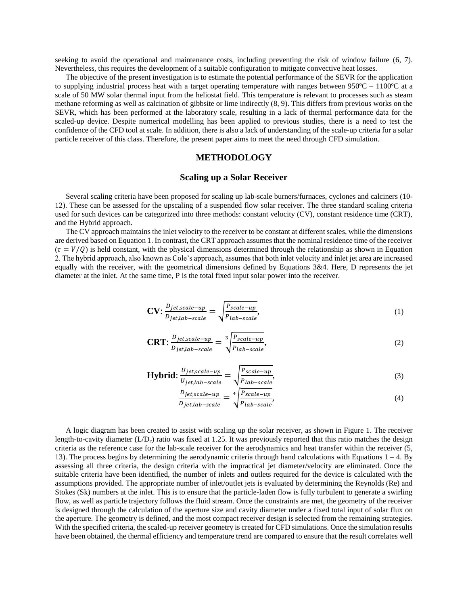seeking to avoid the operational and maintenance costs, including preventing the risk of window failure (6, 7). Nevertheless, this requires the development of a suitable configuration to mitigate convective heat losses.

The objective of the present investigation is to estimate the potential performance of the SEVR for the application to supplying industrial process heat with a target operating temperature with ranges between  $950^{\circ}\text{C} - 1100^{\circ}\text{C}$  at a scale of 50 MW solar thermal input from the heliostat field. This temperature is relevant to processes such as steam methane reforming as well as calcination of gibbsite or lime indirectly (8, 9). This differs from previous works on the SEVR, which has been performed at the laboratory scale, resulting in a lack of thermal performance data for the scaled-up device. Despite numerical modelling has been applied to previous studies, there is a need to test the confidence of the CFD tool at scale. In addition, there is also a lack of understanding of the scale-up criteria for a solar particle receiver of this class. Therefore, the present paper aims to meet the need through CFD simulation.

# **METHODOLOGY**

#### **Scaling up a Solar Receiver**

Several scaling criteria have been proposed for scaling up lab-scale burners/furnaces, cyclones and calciners (10- 12). These can be assessed for the upscaling of a suspended flow solar receiver. The three standard scaling criteria used for such devices can be categorized into three methods: constant velocity (CV), constant residence time (CRT), and the Hybrid approach.

The CV approach maintains the inlet velocity to the receiver to be constant at different scales, while the dimensions are derived based on Equation 1. In contrast, the CRT approach assumes that the nominal residence time of the receiver  $(\tau = V/O)$  is held constant, with the physical dimensions determined through the relationship as shown in Equation 2. The hybrid approach, also known as Cole's approach, assumes that both inlet velocity and inlet jet area are increased equally with the receiver, with the geometrical dimensions defined by Equations 3&4. Here, D represents the jet diameter at the inlet. At the same time, P is the total fixed input solar power into the receiver.

$$
\text{CV: } \frac{D_{jet, scale-up}}{D_{jet, lab-scale}} = \sqrt{\frac{P_{scale-up}}{P_{lab-scale}}},\tag{1}
$$

$$
\text{CRT: } \frac{D_{jet, scale-up}}{D_{jet, lab-scale}} = \sqrt[3]{\frac{P_{scale-up}}{P_{lab-scale}}},\tag{2}
$$

**Hybrid:** 
$$
\frac{U_{jet, scale-up}}{U_{jet, lab-scale}} = \sqrt{\frac{P_{scale-up}}{P_{lab-scale}}},
$$
(3)

$$
\frac{D_{jet, scale-up}}{D_{jet, lab-scale}} = \sqrt[4]{\frac{P_{scale-up}}{P_{lab-scale}}},\tag{4}
$$

A logic diagram has been created to assist with scaling up the solar receiver, as shown in Figure 1. The receiver length-to-cavity diameter  $(L/D<sub>c</sub>)$  ratio was fixed at 1.25. It was previously reported that this ratio matches the design criteria as the reference case for the lab-scale receiver for the aerodynamics and heat transfer within the receiver (5, 13). The process begins by determining the aerodynamic criteria through hand calculations with Equations  $1 - 4$ . By assessing all three criteria, the design criteria with the impractical jet diameter/velocity are eliminated. Once the suitable criteria have been identified, the number of inlets and outlets required for the device is calculated with the assumptions provided. The appropriate number of inlet/outlet jets is evaluated by determining the Reynolds (Re) and Stokes (Sk) numbers at the inlet. This is to ensure that the particle-laden flow is fully turbulent to generate a swirling flow, as well as particle trajectory follows the fluid stream. Once the constraints are met, the geometry of the receiver is designed through the calculation of the aperture size and cavity diameter under a fixed total input of solar flux on the aperture. The geometry is defined, and the most compact receiver design is selected from the remaining strategies. With the specified criteria, the scaled-up receiver geometry is created for CFD simulations. Once the simulation results have been obtained, the thermal efficiency and temperature trend are compared to ensure that the result correlates well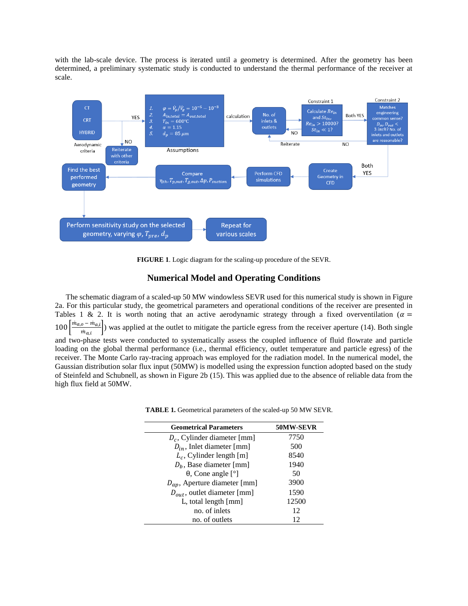with the lab-scale device. The process is iterated until a geometry is determined. After the geometry has been determined, a preliminary systematic study is conducted to understand the thermal performance of the receiver at scale.



**FIGURE 1**. Logic diagram for the scaling-up procedure of the SEVR.

# **Numerical Model and Operating Conditions**

The schematic diagram of a scaled-up 50 MW windowless SEVR used for this numerical study is shown in Figure 2a. For this particular study, the geometrical parameters and operational conditions of the receiver are presented in Tables 1 & 2. It is worth noting that an active aerodynamic strategy through a fixed overventilation ( $\alpha$  =  $100 \frac{m_{a,o} - m_{a,i}}{m}$  $\left(\frac{\partial^2 m_{a,i}}{m_{a,i}}\right)$  was applied at the outlet to mitigate the particle egress from the receiver aperture (14). Both single and two-phase tests were conducted to systematically assess the coupled influence of fluid flowrate and particle loading on the global thermal performance (i.e., thermal efficiency, outlet temperature and particle egress) of the receiver. The Monte Carlo ray-tracing approach was employed for the radiation model. In the numerical model, the Gaussian distribution solar flux input (50MW) is modelled using the expression function adopted based on the study of Steinfeld and Schubnell, as shown in Figure 2b (15). This was applied due to the absence of reliable data from the high flux field at 50MW.

| <b>Geometrical Parameters</b>       | 50MW-SEVR |
|-------------------------------------|-----------|
| $D_c$ , Cylinder diameter [mm]      | 7750      |
| $D_{in}$ , Inlet diameter [mm]      | 500       |
| $L_c$ , Cylinder length [m]         | 8540      |
| $D_h$ , Base diameter [mm]          | 1940      |
| $\theta$ , Cone angle [ $\degree$ ] | 50        |
| $D_{ap}$ , Aperture diameter [mm]   | 3900      |
| $D_{out}$ , outlet diameter [mm]    | 1590      |
| L, total length ${\rm [mm]}$        | 12500     |
| no. of inlets                       | 12        |
| no. of outlets                      | 12        |

|  |  |  |  | <b>TABLE 1.</b> Geometrical parameters of the scaled-up 50 MW SEVR. |
|--|--|--|--|---------------------------------------------------------------------|
|--|--|--|--|---------------------------------------------------------------------|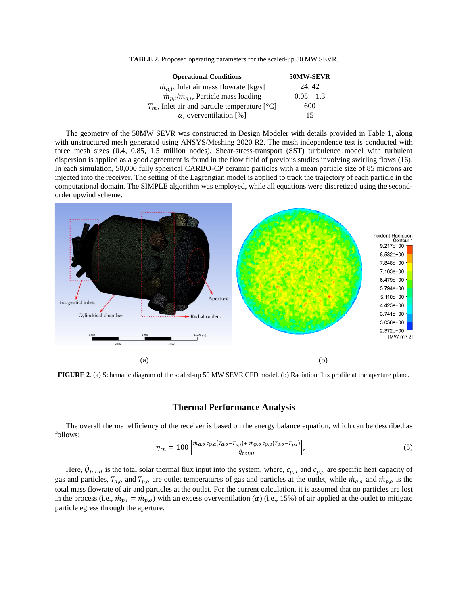**TABLE 2.** Proposed operating parameters for the scaled-up 50 MW SEVR.

| <b>Operational Conditions</b>                         | 50MW-SEVR    |
|-------------------------------------------------------|--------------|
| $\dot{m}_{a,i}$ , Inlet air mass flowrate [kg/s]      | 24.42        |
| $\dot{m}_{p,i}/\dot{m}_{a,i}$ , Particle mass loading | $0.05 - 1.3$ |
| $T_{in}$ , Inlet air and particle temperature [°C]    | 600          |
| $\alpha$ , overventilation [%]                        | 15           |

The geometry of the 50MW SEVR was constructed in Design Modeler with details provided in Table 1, along with unstructured mesh generated using ANSYS/Meshing 2020 R2. The mesh independence test is conducted with three mesh sizes (0.4, 0.85, 1.5 million nodes). Shear-stress-transport (SST) turbulence model with turbulent dispersion is applied as a good agreement is found in the flow field of previous studies involving swirling flows (16). In each simulation, 50,000 fully spherical CARBO-CP ceramic particles with a mean particle size of 85 microns are injected into the receiver. The setting of the Lagrangian model is applied to track the trajectory of each particle in the computational domain. The SIMPLE algorithm was employed, while all equations were discretized using the secondorder upwind scheme.



**FIGURE 2**. (a) Schematic diagram of the scaled-up 50 MW SEVR CFD model. (b) Radiation flux profile at the aperture plane.

#### **Thermal Performance Analysis**

The overall thermal efficiency of the receiver is based on the energy balance equation, which can be described as follows:

$$
\eta_{th} = 100 \left[ \frac{m_{a,o} \, c_{p,a} (T_{a,o} - T_{a,i}) + m_{p,o} \, c_{p,p} (T_{p,o} - T_{p,i})}{\dot{Q}_{total}} \right],\tag{5}
$$

Here,  $\dot{Q}_{total}$  is the total solar thermal flux input into the system, where,  $c_{p,a}$  and  $c_{p,p}$  are specific heat capacity of gas and particles,  $T_{a,o}$  and  $T_{p,o}$  are outlet temperatures of gas and particles at the outlet, while  $m_{a,o}$  and  $m_{p,o}$  is the total mass flowrate of air and particles at the outlet. For the current calculation, it is assumed that no particles are lost in the process (i.e.,  $\dot{m}_{p,i} = \dot{m}_{p,0}$ ) with an excess overventilation ( $\alpha$ ) (i.e., 15%) of air applied at the outlet to mitigate particle egress through the aperture.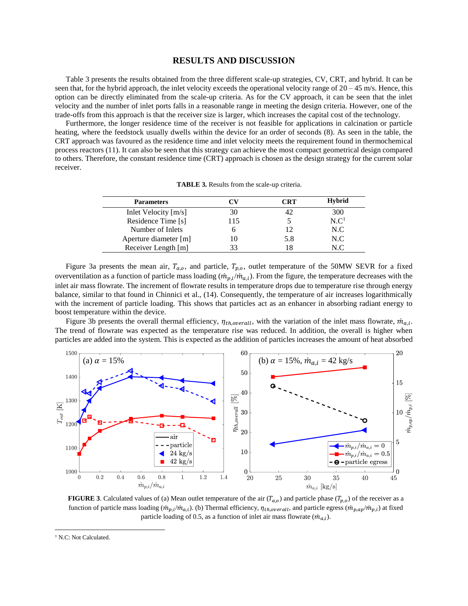### **RESULTS AND DISCUSSION**

Table 3 presents the results obtained from the three different scale-up strategies, CV, CRT, and hybrid. It can be seen that, for the hybrid approach, the inlet velocity exceeds the operational velocity range of  $20 - 45$  m/s. Hence, this option can be directly eliminated from the scale-up criteria. As for the CV approach, it can be seen that the inlet velocity and the number of inlet ports falls in a reasonable range in meeting the design criteria. However, one of the trade-offs from this approach is that the receiver size is larger, which increases the capital cost of the technology.

Furthermore, the longer residence time of the receiver is not feasible for applications in calcination or particle heating, where the feedstock usually dwells within the device for an order of seconds (8). As seen in the table, the CRT approach was favoured as the residence time and inlet velocity meets the requirement found in thermochemical process reactors (11). It can also be seen that this strategy can achieve the most compact geometrical design compared to others. Therefore, the constant residence time (CRT) approach is chosen as the design strategy for the current solar receiver.

| <b>Parameters</b>      | ™   | CRT | <b>Hybrid</b>    |
|------------------------|-----|-----|------------------|
| Inlet Velocity $[m/s]$ | 30  |     | 300              |
| Residence Time [s]     | 115 |     | N.C <sup>1</sup> |
| Number of Inlets       |     |     | N.C              |
| Aperture diameter [m]  |     | 5.8 | N.C              |
| Receiver Length [m]    |     |     | NΩ               |

**TABLE 3.** Results from the scale-up criteria.

Figure 3a presents the mean air,  $T_{a,o}$ , and particle,  $T_{p,o}$ , outlet temperature of the 50MW SEVR for a fixed overventilation as a function of particle mass loading  $(\dot{m}_{p,i}/\dot{m}_{a,i})$ . From the figure, the temperature decreases with the inlet air mass flowrate. The increment of flowrate results in temperature drops due to temperature rise through energy balance, similar to that found in Chinnici et al., (14). Consequently, the temperature of air increases logarithmically with the increment of particle loading. This shows that particles act as an enhancer in absorbing radiant energy to boost temperature within the device.

Figure 3b presents the overall thermal efficiency,  $\eta_{th, overall}$ , with the variation of the inlet mass flowrate,  $\dot{m}_{a,i}$ . The trend of flowrate was expected as the temperature rise was reduced. In addition, the overall is higher when particles are added into the system. This is expected as the addition of particles increases the amount of heat absorbed



**FIGURE** 3. Calculated values of (a) Mean outlet temperature of the air  $(T_{a,o})$  and particle phase  $(T_{p,o})$  of the receiver as a function of particle mass loading  $(m_{p,i}/m_{a,i})$ . (b) Thermal efficiency,  $\eta_{th,overall}$ , and particle egress  $(m_{p,ap}/m_{p,i})$  at fixed particle loading of 0.5, as a function of inlet air mass flowrate  $(\dot{m}_{a,i})$ .

 $\overline{a}$ 

<sup>&</sup>lt;sup>1</sup> N.C: Not Calculated.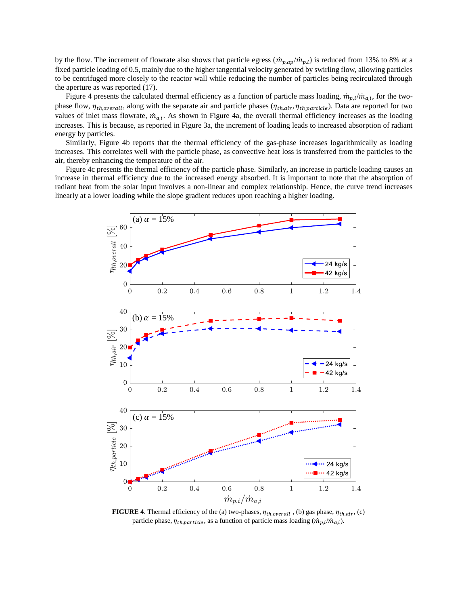by the flow. The increment of flowrate also shows that particle egress  $(\dot{m}_{p,ap}/\dot{m}_{p,i})$  is reduced from 13% to 8% at a fixed particle loading of 0.5, mainly due to the higher tangential velocity generated by swirling flow, allowing particles to be centrifuged more closely to the reactor wall while reducing the number of particles being recirculated through the aperture as was reported (17).

Figure 4 presents the calculated thermal efficiency as a function of particle mass loading,  $\dot{m}_{p,i}/\dot{m}_{a,i}$ , for the twophase flow,  $\eta_{th, overall}$ , along with the separate air and particle phases ( $\eta_{th, air}$ ,  $\eta_{th, particle}$ ). Data are reported for two values of inlet mass flowrate,  $\dot{m}_{a,i}$ . As shown in Figure 4a, the overall thermal efficiency increases as the loading increases. This is because, as reported in Figure 3a, the increment of loading leads to increased absorption of radiant energy by particles.

Similarly, Figure 4b reports that the thermal efficiency of the gas-phase increases logarithmically as loading increases. This correlates well with the particle phase, as convective heat loss is transferred from the particles to the air, thereby enhancing the temperature of the air.

Figure 4c presents the thermal efficiency of the particle phase. Similarly, an increase in particle loading causes an increase in thermal efficiency due to the increased energy absorbed. It is important to note that the absorption of radiant heat from the solar input involves a non-linear and complex relationship. Hence, the curve trend increases linearly at a lower loading while the slope gradient reduces upon reaching a higher loading.



**FIGURE 4**. Thermal efficiency of the (a) two-phases,  $\eta_{th, overall}$ , (b) gas phase,  $\eta_{th, air}$ , (c) particle phase,  $\eta_{th, particle}$ , as a function of particle mass loading  $(\dot{m}_{p,i}/\dot{m}_{a,i})$ .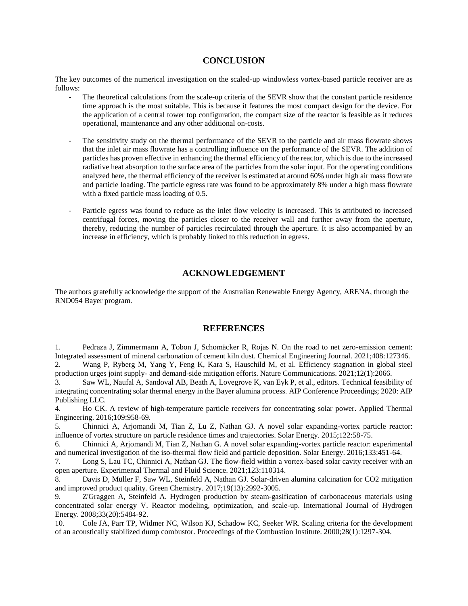# **CONCLUSION**

The key outcomes of the numerical investigation on the scaled-up windowless vortex-based particle receiver are as follows:

- The theoretical calculations from the scale-up criteria of the SEVR show that the constant particle residence time approach is the most suitable. This is because it features the most compact design for the device. For the application of a central tower top configuration, the compact size of the reactor is feasible as it reduces operational, maintenance and any other additional on-costs.
- The sensitivity study on the thermal performance of the SEVR to the particle and air mass flowrate shows that the inlet air mass flowrate has a controlling influence on the performance of the SEVR. The addition of particles has proven effective in enhancing the thermal efficiency of the reactor, which is due to the increased radiative heat absorption to the surface area of the particles from the solar input. For the operating conditions analyzed here, the thermal efficiency of the receiver is estimated at around 60% under high air mass flowrate and particle loading. The particle egress rate was found to be approximately 8% under a high mass flowrate with a fixed particle mass loading of 0.5.
- Particle egress was found to reduce as the inlet flow velocity is increased. This is attributed to increased centrifugal forces, moving the particles closer to the receiver wall and further away from the aperture, thereby, reducing the number of particles recirculated through the aperture. It is also accompanied by an increase in efficiency, which is probably linked to this reduction in egress.

# **ACKNOWLEDGEMENT**

The authors gratefully acknowledge the support of the Australian Renewable Energy Agency, ARENA, through the RND054 Bayer program.

# **REFERENCES**

1. Pedraza J, Zimmermann A, Tobon J, Schomäcker R, Rojas N. On the road to net zero-emission cement: Integrated assessment of mineral carbonation of cement kiln dust. Chemical Engineering Journal. 2021;408:127346. 2. Wang P, Ryberg M, Yang Y, Feng K, Kara S, Hauschild M, et al. Efficiency stagnation in global steel production urges joint supply- and demand-side mitigation efforts. Nature Communications. 2021;12(1):2066.

3. Saw WL, Naufal A, Sandoval AB, Beath A, Lovegrove K, van Eyk P, et al., editors. Technical feasibility of integrating concentrating solar thermal energy in the Bayer alumina process. AIP Conference Proceedings; 2020: AIP Publishing LLC.

4. Ho CK. A review of high-temperature particle receivers for concentrating solar power. Applied Thermal Engineering. 2016;109:958-69.

5. Chinnici A, Arjomandi M, Tian Z, Lu Z, Nathan GJ. A novel solar expanding-vortex particle reactor: influence of vortex structure on particle residence times and trajectories. Solar Energy. 2015;122:58-75.

6. Chinnici A, Arjomandi M, Tian Z, Nathan G. A novel solar expanding-vortex particle reactor: experimental and numerical investigation of the iso-thermal flow field and particle deposition. Solar Energy. 2016;133:451-64.

7. Long S, Lau TC, Chinnici A, Nathan GJ. The flow-field within a vortex-based solar cavity receiver with an open aperture. Experimental Thermal and Fluid Science. 2021;123:110314.

8. Davis D, Müller F, Saw WL, Steinfeld A, Nathan GJ. Solar-driven alumina calcination for CO2 mitigation and improved product quality. Green Chemistry. 2017;19(13):2992-3005.

9. Z'Graggen A, Steinfeld A. Hydrogen production by steam-gasification of carbonaceous materials using concentrated solar energy–V. Reactor modeling, optimization, and scale-up. International Journal of Hydrogen Energy. 2008;33(20):5484-92.

10. Cole JA, Parr TP, Widmer NC, Wilson KJ, Schadow KC, Seeker WR. Scaling criteria for the development of an acoustically stabilized dump combustor. Proceedings of the Combustion Institute. 2000;28(1):1297-304.